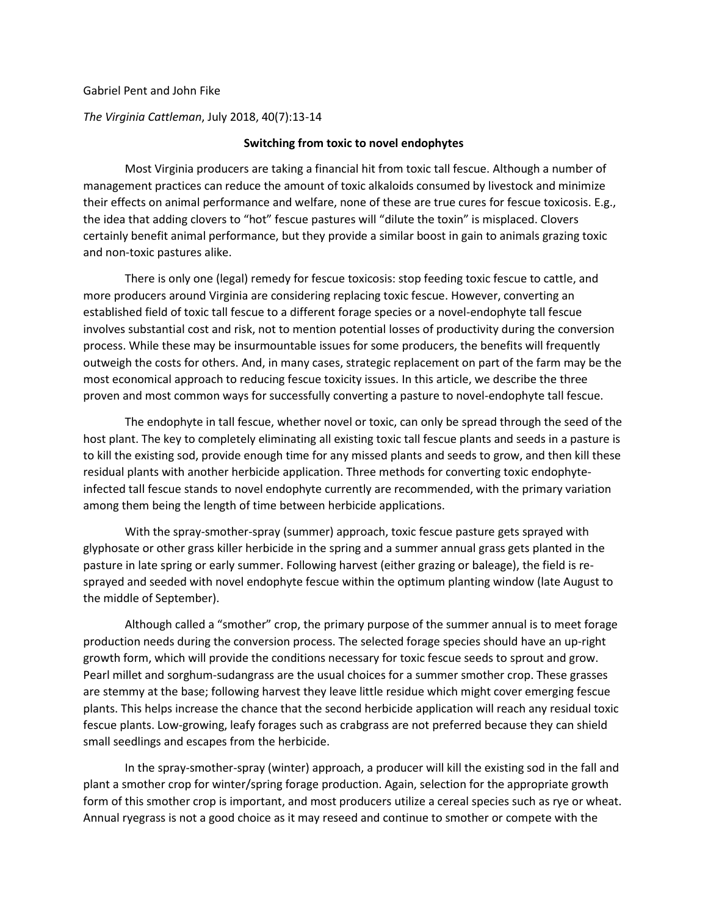## Gabriel Pent and John Fike

*The Virginia Cattleman*, July 2018, 40(7):13-14

## **Switching from toxic to novel endophytes**

Most Virginia producers are taking a financial hit from toxic tall fescue. Although a number of management practices can reduce the amount of toxic alkaloids consumed by livestock and minimize their effects on animal performance and welfare, none of these are true cures for fescue toxicosis. E.g., the idea that adding clovers to "hot" fescue pastures will "dilute the toxin" is misplaced. Clovers certainly benefit animal performance, but they provide a similar boost in gain to animals grazing toxic and non-toxic pastures alike.

There is only one (legal) remedy for fescue toxicosis: stop feeding toxic fescue to cattle, and more producers around Virginia are considering replacing toxic fescue. However, converting an established field of toxic tall fescue to a different forage species or a novel-endophyte tall fescue involves substantial cost and risk, not to mention potential losses of productivity during the conversion process. While these may be insurmountable issues for some producers, the benefits will frequently outweigh the costs for others. And, in many cases, strategic replacement on part of the farm may be the most economical approach to reducing fescue toxicity issues. In this article, we describe the three proven and most common ways for successfully converting a pasture to novel-endophyte tall fescue.

The endophyte in tall fescue, whether novel or toxic, can only be spread through the seed of the host plant. The key to completely eliminating all existing toxic tall fescue plants and seeds in a pasture is to kill the existing sod, provide enough time for any missed plants and seeds to grow, and then kill these residual plants with another herbicide application. Three methods for converting toxic endophyteinfected tall fescue stands to novel endophyte currently are recommended, with the primary variation among them being the length of time between herbicide applications.

With the spray-smother-spray (summer) approach, toxic fescue pasture gets sprayed with glyphosate or other grass killer herbicide in the spring and a summer annual grass gets planted in the pasture in late spring or early summer. Following harvest (either grazing or baleage), the field is resprayed and seeded with novel endophyte fescue within the optimum planting window (late August to the middle of September).

Although called a "smother" crop, the primary purpose of the summer annual is to meet forage production needs during the conversion process. The selected forage species should have an up-right growth form, which will provide the conditions necessary for toxic fescue seeds to sprout and grow. Pearl millet and sorghum-sudangrass are the usual choices for a summer smother crop. These grasses are stemmy at the base; following harvest they leave little residue which might cover emerging fescue plants. This helps increase the chance that the second herbicide application will reach any residual toxic fescue plants. Low-growing, leafy forages such as crabgrass are not preferred because they can shield small seedlings and escapes from the herbicide.

In the spray-smother-spray (winter) approach, a producer will kill the existing sod in the fall and plant a smother crop for winter/spring forage production. Again, selection for the appropriate growth form of this smother crop is important, and most producers utilize a cereal species such as rye or wheat. Annual ryegrass is not a good choice as it may reseed and continue to smother or compete with the